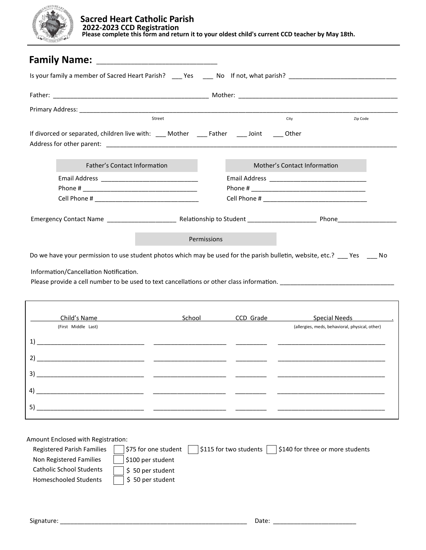

| Is your family a member of Sacred Heart Parish? ____ Yes _____ No If not, what parish? _______________________________     |             |  |                                                |          |
|----------------------------------------------------------------------------------------------------------------------------|-------------|--|------------------------------------------------|----------|
|                                                                                                                            |             |  |                                                |          |
|                                                                                                                            |             |  |                                                |          |
| Street                                                                                                                     |             |  | City                                           | Zip Code |
| If divorced or separated, children live with: ____ Mother _____ Father _____ Joint _____ Other                             |             |  |                                                |          |
| Father's Contact Information                                                                                               |             |  | Mother's Contact Information                   |          |
|                                                                                                                            |             |  |                                                |          |
|                                                                                                                            |             |  |                                                |          |
|                                                                                                                            |             |  |                                                |          |
|                                                                                                                            |             |  |                                                |          |
|                                                                                                                            | Permissions |  |                                                |          |
| Do we have your permission to use student photos which may be used for the parish bulletin, website, etc.? ___ Yes ____ No |             |  |                                                |          |
| Information/Cancellation Notification.                                                                                     |             |  |                                                |          |
|                                                                                                                            |             |  |                                                |          |
|                                                                                                                            |             |  |                                                |          |
| Child's Name                                                                                                               | School      |  |                                                |          |
| (First Middle Last)                                                                                                        |             |  | (allergies, meds, behavioral, physical, other) |          |
| 1)                                                                                                                         |             |  |                                                |          |
|                                                                                                                            |             |  |                                                |          |
|                                                                                                                            |             |  |                                                |          |
| 4)                                                                                                                         |             |  |                                                |          |
| 5)                                                                                                                         |             |  |                                                |          |
|                                                                                                                            |             |  |                                                |          |

Amount Enclosed with Registration:

| <b>Registered Parish Families</b> | $\vert$ \$115 for two students $\vert$<br>\$140 for three or more students<br>\$75 for one student |
|-----------------------------------|----------------------------------------------------------------------------------------------------|
| Non Registered Families           | \$100 per student                                                                                  |
| Catholic School Students          | \$50 per student                                                                                   |
| Homeschooled Students             | \$50 per student                                                                                   |
|                                   |                                                                                                    |